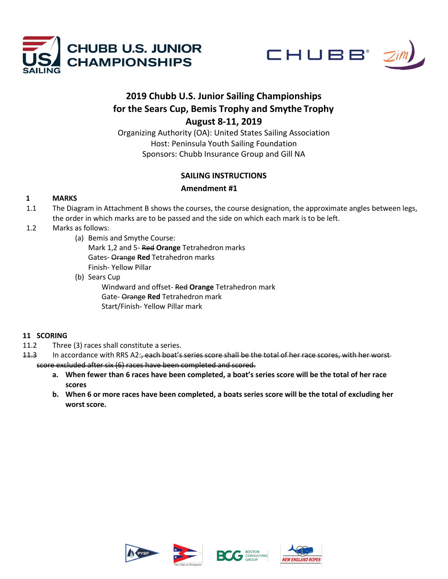



# **2019 Chubb U.S. Junior Sailing Championships for the Sears Cup, Bemis Trophy and Smythe Trophy August 8-11, 2019**

Organizing Authority (OA): United States Sailing Association Host: Peninsula Youth Sailing Foundation Sponsors: Chubb Insurance Group and Gill NA

## **SAILING INSTRUCTIONS**

### **Amendment #1**

### **1 MARKS**

- 1.1 The Diagram in Attachment B shows the courses, the course designation, the approximate angles between legs, the order in which marks are to be passed and the side on which each mark is to be left.
- 1.2 Marks as follows:
	- (a) Bemis and Smythe Course: Mark 1,2 and 5- Red **Orange** Tetrahedron marks Gates- Orange **Red** Tetrahedron marks Finish- Yellow Pillar
	- (b) Sears Cup Windward and offset- Red **Orange** Tetrahedron mark Gate- Orange **Red** Tetrahedron mark Start/Finish- Yellow Pillar mark

### **11 SCORING**

- 11.2 Three (3) races shall constitute a series.
- 11.3 In accordance with RRS A2:, each boat's series score shall be the total of her race scores, with her worst score excluded after six (6) races have been completed and scored.
	- **a. When fewer than 6 races have been completed, a boat's series score will be the total of her race scores**
	- **b. When 6 or more races have been completed, a boats series score will be the total of excluding her worst score.**







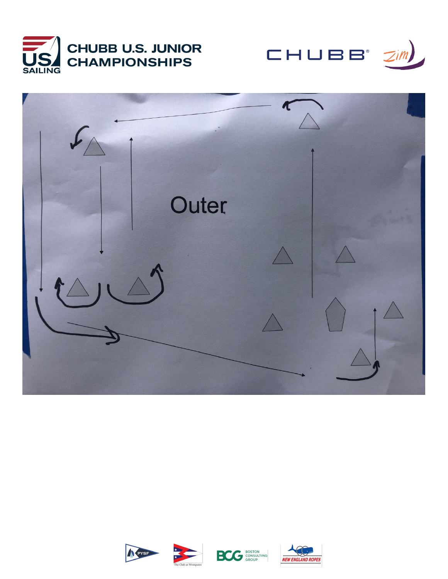











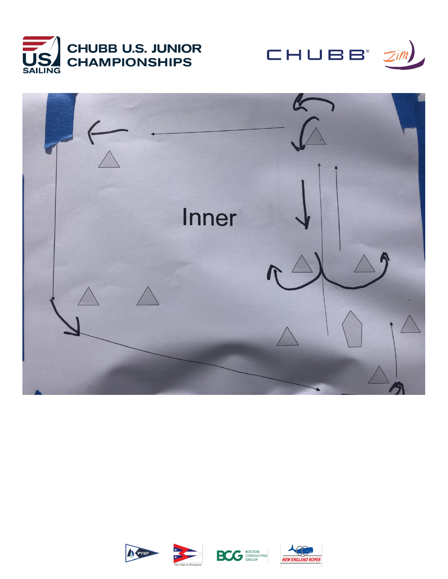











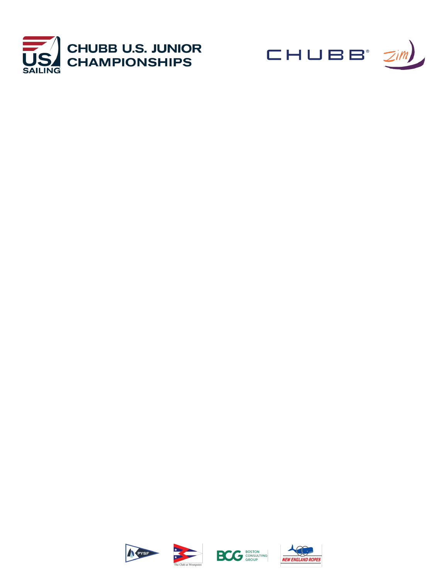